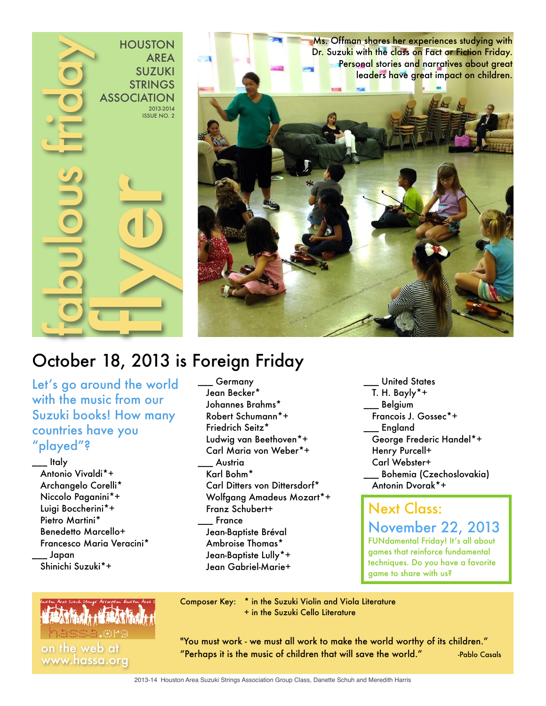

Ms. Offman shares her experiences studying with Dr. Suzuki with the class on Fact or Fiction Friday. Personal stories and narratives about great leaders have great impact on children.

# October 18, 2013 is Foreign Friday

Let's go around the world with the music from our Suzuki books! How many countries have you "played"?

\_\_\_ Italy Antonio Vivaldi\*+ Archangelo Corelli\* Niccolo Paganini\*+ Luigi Boccherini\*+ Pietro Martini\* Benedetto Marcello+ Francesco Maria Veracini\* \_\_\_ Japan Shinichi Suzuki\*+

#### \_\_\_ Germany Jean Becker\* Johannes Brahms\* Robert Schumann\*+ Friedrich Seitz\* Ludwig van Beethoven\*+ Carl Maria von Weber\*+ \_\_\_ Austria Karl Bohm\* Carl Ditters von Dittersdorf\* Wolfgang Amadeus Mozart\*+ Franz Schubert+ \_\_\_ France Jean-Baptiste Bréval Ambroise Thomas\* Jean-Baptiste Lully\*+ Jean Gabriel-Marie+

United States T. H. Bayly\*+ **Belgium**  Francois J. Gossec\*+ **England**  George Frederic Handel\*+ Henry Purcell+ Carl Webster+ \_\_\_ Bohemia (Czechoslovakia) Antonin Dvorak\*+

Next Class: November 22, 2013 FUNdamental Friday! It's all about games that reinforce fundamental

techniques. Do you have a favorite game to share with us?

Composer Key: \* in the Suzuki Violin and Viola Literature + in the Suzuki Cello Literature

"You must work - we must all work to make the world worthy of its children." on the web at the music of children that will save the world." -Pablo Casals www.hassa.org

2013-14 Houston Area Suzuki Strings Association Group Class, Danette Schuh and Meredith Harris